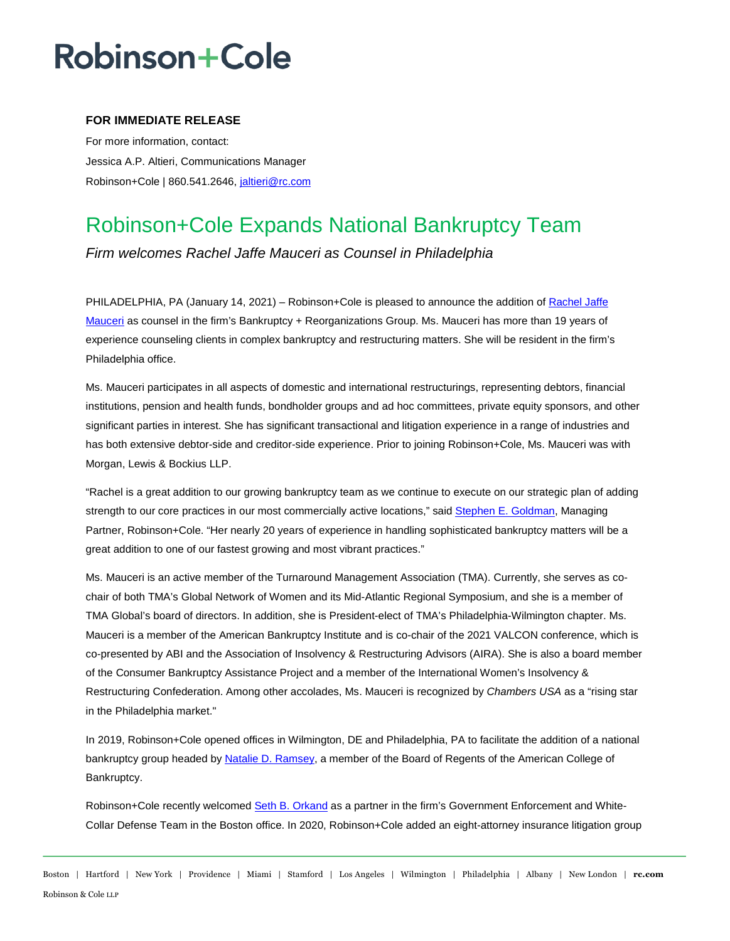## Robinson+Cole

### **FOR IMMEDIATE RELEASE**

For more information, contact: Jessica A.P. Altieri, Communications Manager Robinson+Cole | 860.541.2646, [jaltieri@rc.com](mailto:jaltieri@rc.com)

### Robinson+Cole Expands National Bankruptcy Team

*Firm welcomes Rachel Jaffe Mauceri as Counsel in Philadelphia* 

PHILADELPHIA, PA (January 14, 2021) – Robinson+Cole is pleased to announce the addition of Rachel Jaffe [Mauceri](http://www.rc.com/people/RachelMauceri.cfm) as counsel in the firm's Bankruptcy + Reorganizations Group. Ms. Mauceri has more than 19 years of experience counseling clients in complex bankruptcy and restructuring matters. She will be resident in the firm's Philadelphia office.

Ms. Mauceri participates in all aspects of domestic and international restructurings, representing debtors, financial institutions, pension and health funds, bondholder groups and ad hoc committees, private equity sponsors, and other significant parties in interest. She has significant transactional and litigation experience in a range of industries and has both extensive debtor-side and creditor-side experience. Prior to joining Robinson+Cole, Ms. Mauceri was with Morgan, Lewis & Bockius LLP.

"Rachel is a great addition to our growing bankruptcy team as we continue to execute on our strategic plan of adding strength to our core practices in our most commercially active locations," sai[d Stephen E. Goldman,](http://www.rc.com/people/StephenEGoldman.cfm) Managing Partner, Robinson+Cole. "Her nearly 20 years of experience in handling sophisticated bankruptcy matters will be a great addition to one of our fastest growing and most vibrant practices."

Ms. Mauceri is an active member of the Turnaround Management Association (TMA). Currently, she serves as cochair of both TMA's Global Network of Women and its Mid-Atlantic Regional Symposium, and she is a member of TMA Global's board of directors. In addition, she is President-elect of TMA's Philadelphia-Wilmington chapter. Ms. Mauceri is a member of the American Bankruptcy Institute and is co-chair of the 2021 VALCON conference, which is co-presented by ABI and the Association of Insolvency & Restructuring Advisors (AIRA). She is also a board member of the Consumer Bankruptcy Assistance Project and a member of the International Women's Insolvency & Restructuring Confederation. Among other accolades, Ms. Mauceri is recognized by *Chambers USA* as a "rising star in the Philadelphia market."

In 2019, Robinson+Cole opened offices in Wilmington, DE and Philadelphia, PA to facilitate the addition of a national bankruptcy group headed b[y Natalie D. Ramsey,](http://www.rc.com/people/NatalieDRamsey.cfm) a member of the Board of Regents of the American College of Bankruptcy.

Robinson+Cole recently welcome[d Seth B. Orkand](http://www.rc.com/people/SethOrkand.cfm#overview) as a partner in the firm's Government Enforcement and White-Collar Defense Team in the Boston office. In 2020, Robinson+Cole added an eight-attorney insurance litigation group

Boston | Hartford | New York | Providence | Miami | Stamford | Los Angeles | Wilmington | Philadelphia | Albany | New London | **rc.com** Robinson & Cole LLP